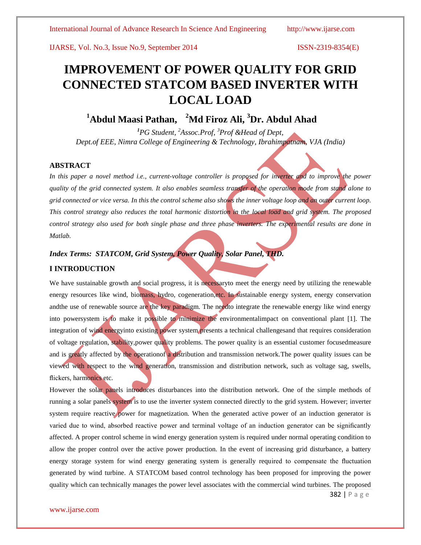IJARSE, Vol. No.3, Issue No.9, September 2014 ISSN-2319-8354(E)

# **IMPROVEMENT OF POWER QUALITY FOR GRID CONNECTED STATCOM BASED INVERTER WITH LOCAL LOAD**

# **<sup>1</sup>Abdul Maasi Pathan, <sup>2</sup>Md Firoz Ali, <sup>3</sup>Dr. Abdul Ahad**

*<sup>1</sup>PG Student, <sup>2</sup>Assoc.Prof, <sup>3</sup>Prof &Head of Dept, Dept.of EEE, Nimra College of Engineering & Technology, Ibrahimpatnam, VJA (India)*

# **ABSTRACT**

In this paper a novel method *i.e., current-voltage controller is proposed for inverter and to improve the power quality of the grid connected system. It also enables seamless transfer of the operation mode from stand alone to grid connected or vice versa. In this the control scheme also shows the inner voltage loop and an outer current loop. This control strategy also reduces the total harmonic distortion in the local load and grid system. The proposed control strategy also used for both single phase and three phase inverters. The experimental results are done in Matlab.*

# *Index Terms: STATCOM, Grid System, Power Quality, Solar Panel, THD.*

# **I INTRODUCTION**

We have sustainable growth and social progress, it is necessaryto meet the energy need by utilizing the renewable energy resources like wind, biomass, hydro, cogeneration,etc. In sustainable energy system, energy conservation andthe use of renewable source are the key paradigm. The needto integrate the renewable energy like wind energy into powersystem is to make it possible to minimize the environmentalimpact on conventional plant [1]. The integration of wind energyinto existing power system presents a technical challengesand that requires consideration of voltage regulation, stability,power quality problems. The power quality is an essential customer focusedmeasure and is greatly affected by the operationof a distribution and transmission network.The power quality issues can be viewed with respect to the wind generation, transmission and distribution network, such as voltage sag, swells, flickers, harmonics etc.

However the solar panels introduces disturbances into the distribution network. One of the simple methods of running a solar panels system is to use the inverter system connected directly to the grid system. However; inverter system require reactive power for magnetization. When the generated active power of an induction generator is varied due to wind, absorbed reactive power and terminal voltage of an induction generator can be significantly affected. A proper control scheme in wind energy generation system is required under normal operating condition to allow the proper control over the active power production. In the event of increasing grid disturbance, a battery energy storage system for wind energy generating system is generally required to compensate the fluctuation generated by wind turbine. A STATCOM based control technology has been proposed for improving the power quality which can technically manages the power level associates with the commercial wind turbines. The proposed

382 | P a g e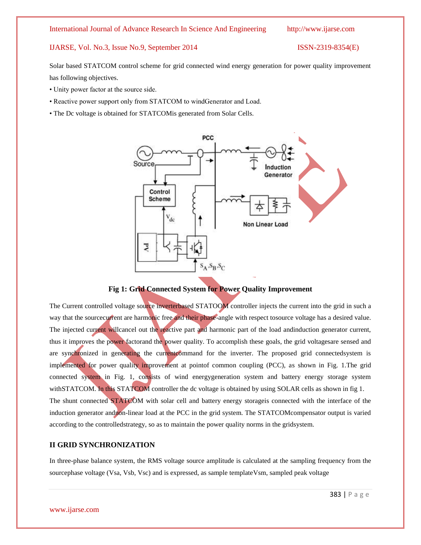# IJARSE, Vol. No.3, Issue No.9, September 2014 ISSN-2319-8354(E)

Solar based STATCOM control scheme for grid connected wind energy generation for power quality improvement has following objectives.

- Unity power factor at the source side.
- Reactive power support only from STATCOM to windGenerator and Load.
- The Dc voltage is obtained for STATCOMis generated from Solar Cells.



**Fig 1: Grid Connected System for Power Quality Improvement**

The Current controlled voltage source inverterbased STATOOM controller injects the current into the grid in such a way that the sourcecurrent are harmonic free and their phase-angle with respect tosource voltage has a desired value. The injected current willcancel out the reactive part and harmonic part of the load andinduction generator current, thus it improves the power factorand the power quality. To accomplish these goals, the grid voltagesare sensed and are synchronized in generating the currentcommand for the inverter. The proposed grid connectedsystem is implemented for power quality improvement at pointof common coupling (PCC), as shown in Fig. 1.The grid connected system in Fig. 1, consists of wind energygeneration system and battery energy storage system withSTATCOM. In this STATCOM controller the dc voltage is obtained by using SOLAR cells as shown in fig 1. The shunt connected STATCOM with solar cell and battery energy storageis connected with the interface of the induction generator andnon-linear load at the PCC in the grid system. The STATCOMcompensator output is varied according to the controlledstrategy, so as to maintain the power quality norms in the gridsystem.

# **II GRID SYNCHRONIZATION**

In three-phase balance system, the RMS voltage source amplitude is calculated at the sampling frequency from the sourcephase voltage (Vsa, Vsb, Vsc) and is expressed, as sample templateVsm, sampled peak voltage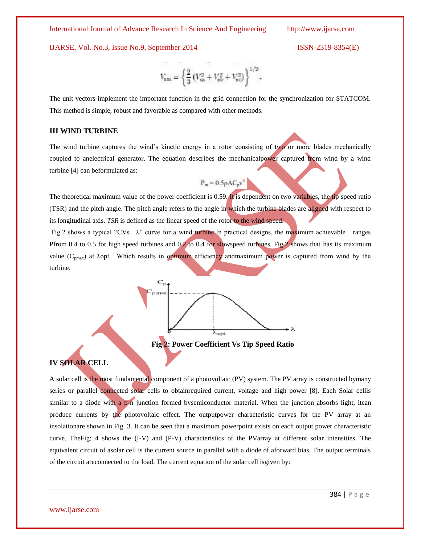## IJARSE, Vol. No.3, Issue No.9, September 2014 ISSN-2319-8354(E)

$$
V_{\rm sm} = \left\{\frac{2}{3}\left(V_{\rm sn}^2 + V_{\rm sb}^2 + V_{\rm sc}^2\right)\right\}^{1/2}
$$

The unit vectors implement the important function in the grid connection for the synchronization for STATCOM. This method is simple, robust and favorable as compared with other methods.

# **III WIND TURBINE**

The wind turbine captures the wind's kinetic energy in a rotor consisting of two or more blades mechanically coupled to anelectrical generator. The equation describes the mechanicalpower captured from wind by a wind turbine [4] can beformulated as:

$$
P_m = 0.5 \rho A C_p v^3
$$

The theoretical maximum value of the power coefficient is 0.59. It is dependent on two variables, the tip speed ratio (TSR) and the pitch angle. The pitch angle refers to the angle in which the turbine blades are aligned with respect to its longitudinal axis. *TSR* is defined as the linear speed of the rotor to the wind speed.

Fig.2 shows a typical "CVs.  $\lambda$ " curve for a wind turbine. In practical designs, the maximum achievable ranges Pfrom 0.4 to 0.5 for high speed turbines and 0.2 to 0.4 for slowspeed turbines. Fig.2 shows that has its maximum value  $(C_{pmax})$  at  $\lambda$ opt. Which results in optimum efficiency andmaximum power is captured from wind by the turbine.



**Fig 2: Power Coefficient Vs Tip Speed Ratio**

# **IV SOLAR CELL**

A solar cell is the most fundamental component of a photovoltaic (PV) system. The PV array is constructed bymany series or parallel connected solar cells to obtainrequired current, voltage and high power [8]. Each Solar cellis similar to a diode with a p-n junction formed bysemiconductor material. When the junction absorbs light, itcan produce currents by the photovoltaic effect. The outputpower characteristic curves for the PV array at an insolationare shown in Fig. 3. It can be seen that a maximum powerpoint exists on each output power characteristic curve. TheFig: 4 shows the (I-V) and (P-V) characteristics of the PVarray at different solar intensities. The equivalent circuit of asolar cell is the current source in parallel with a diode of aforward bias. The output terminals of the circuit areconnected to the load. The current equation of the solar cell isgiven by: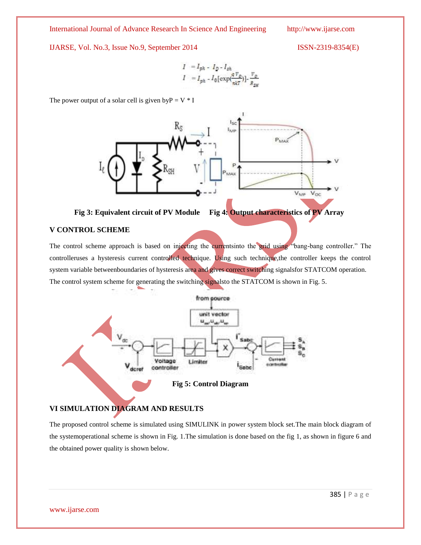IJARSE, Vol. No.3, Issue No.9, September 2014 ISSN-2319-8354(E)

$$
I = I_{ph} - I_D - I_{sh}
$$
  

$$
I = I_{ph} - I_0 [\exp(\frac{qV_D}{n kT})] - \frac{V_D}{R_{em}}
$$

The power output of a solar cell is given by  $P = V * I$ 



# **Fig 3: Equivalent circuit of PV Module Fig 4: Output characteristics of PV Array**

# **V CONTROL SCHEME**

The control scheme approach is based on injecting the currentsinto the grid using "bang-bang controller." The controlleruses a hysteresis current controlled technique. Using such technique, the controller keeps the control system variable betweenboundaries of hysteresis area and gives correct switching signalsfor STATCOM operation. The control system scheme for generating the switching signalsto the STATCOM is shown in Fig. 5.



# **VI SIMULATION DIAGRAM AND RESULTS**

The proposed control scheme is simulated using SIMULINK in power system block set.The main block diagram of the systemoperational scheme is shown in Fig. 1.The simulation is done based on the fig 1, as shown in figure 6 and the obtained power quality is shown below.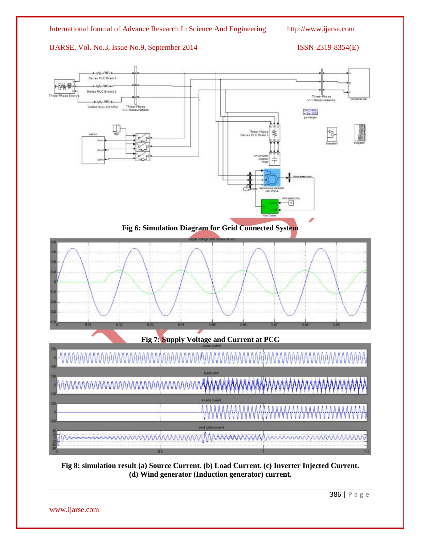# IJARSE, Vol. No.3, Issue No.9, September 2014 ISSN-2319-8354(E)





**Fig 8: simulation result (a) Source Current. (b) Load Current. (c) Inverter Injected Current. (d) Wind generator (Induction generator) current.**

www.ijarse.com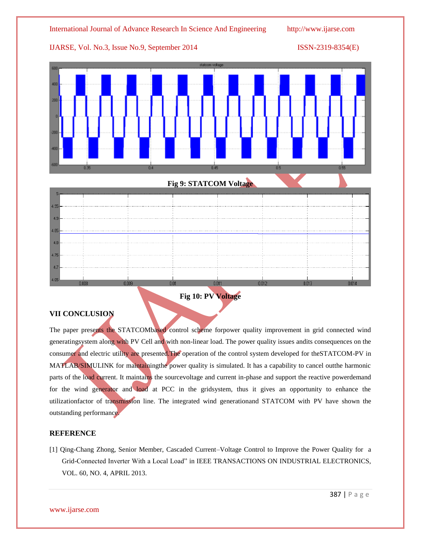

# **Fig 10: PV Voltage**

# **VII CONCLUSION**

The paper presents the STATCOMbased control scheme forpower quality improvement in grid connected wind generatingsystem along with PV Cell and with non-linear load. The power quality issues andits consequences on the consumer and electric utility are presented.The operation of the control system developed for theSTATCOM-PV in MATLAB/SIMULINK for maintainingthe power quality is simulated. It has a capability to cancel outthe harmonic parts of the load current. It maintains the sourcevoltage and current in-phase and support the reactive powerdemand for the wind generator and load at PCC in the gridsystem, thus it gives an opportunity to enhance the utilizationfactor of transmission line. The integrated wind generationand STATCOM with PV have shown the outstanding performance.

# **REFERENCE**

[1] Qing-Chang Zhong, Senior Member, Cascaded Current–Voltage Control to Improve the Power Quality for a Grid-Connected Inverter With a Local Load" in IEEE TRANSACTIONS ON INDUSTRIAL ELECTRONICS, VOL. 60, NO. 4, APRIL 2013.